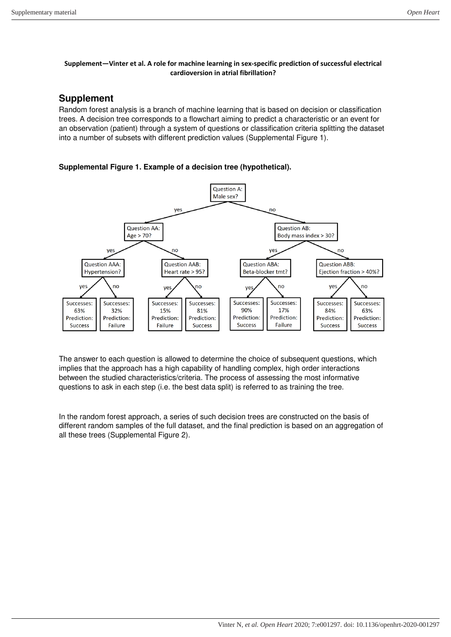#### **Supplement—Vinter et al. A role for machine learning in sex-specific prediction of successful electrical cardioversion in atrial fibrillation?**

## **Supplement**

Random forest analysis is a branch of machine learning that is based on decision or classification trees. A decision tree corresponds to a flowchart aiming to predict a characteristic or an event for an observation (patient) through a system of questions or classification criteria splitting the dataset into a number of subsets with different prediction values (Supplemental Figure 1).

### **Supplemental Figure 1. Example of a decision tree (hypothetical).**



The answer to each question is allowed to determine the choice of subsequent questions, which implies that the approach has a high capability of handling complex, high order interactions between the studied characteristics/criteria. The process of assessing the most informative questions to ask in each step (i.e. the best data split) is referred to as training the tree.

In the random forest approach, a series of such decision trees are constructed on the basis of different random samples of the full dataset, and the final prediction is based on an aggregation of all these trees (Supplemental Figure 2).